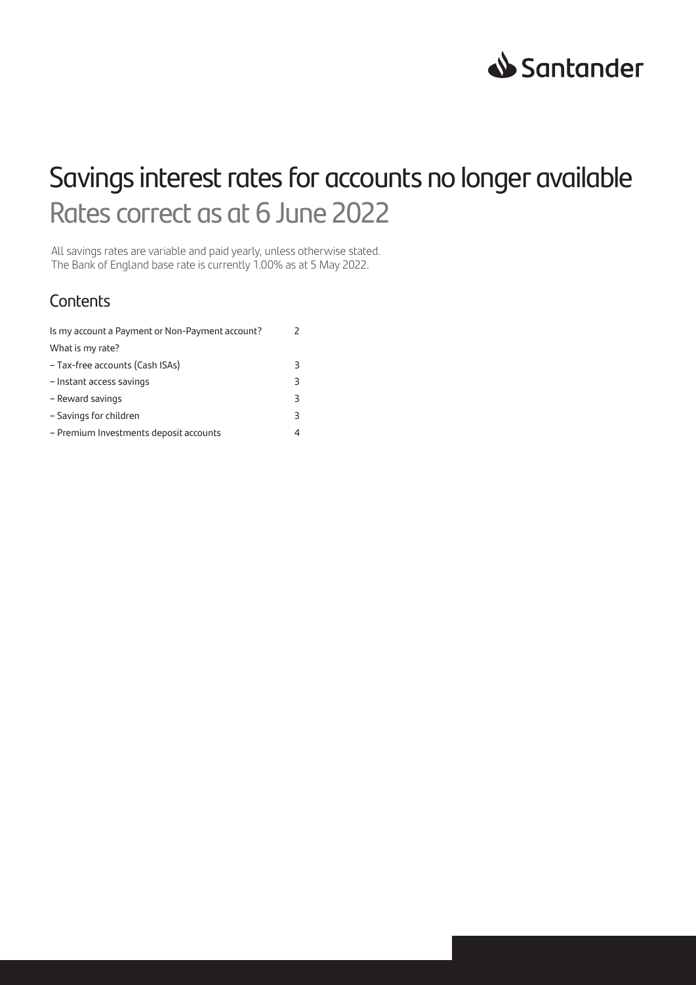

# Savings interest rates for accounts no longer available Rates correct as at 6 June 2022

All savings rates are variable and paid yearly, unless otherwise stated. The Bank of England base rate is currently 1.00% as at 5 May 2022.

### **Contents**

| Is my account a Payment or Non-Payment account? |   |
|-------------------------------------------------|---|
| What is my rate?                                |   |
| - Tax-free accounts (Cash ISAs)                 | ₹ |
| - Instant access savings                        | 3 |
| - Reward savings                                | 3 |
| - Savings for children                          | 3 |
| - Premium Investments deposit accounts          |   |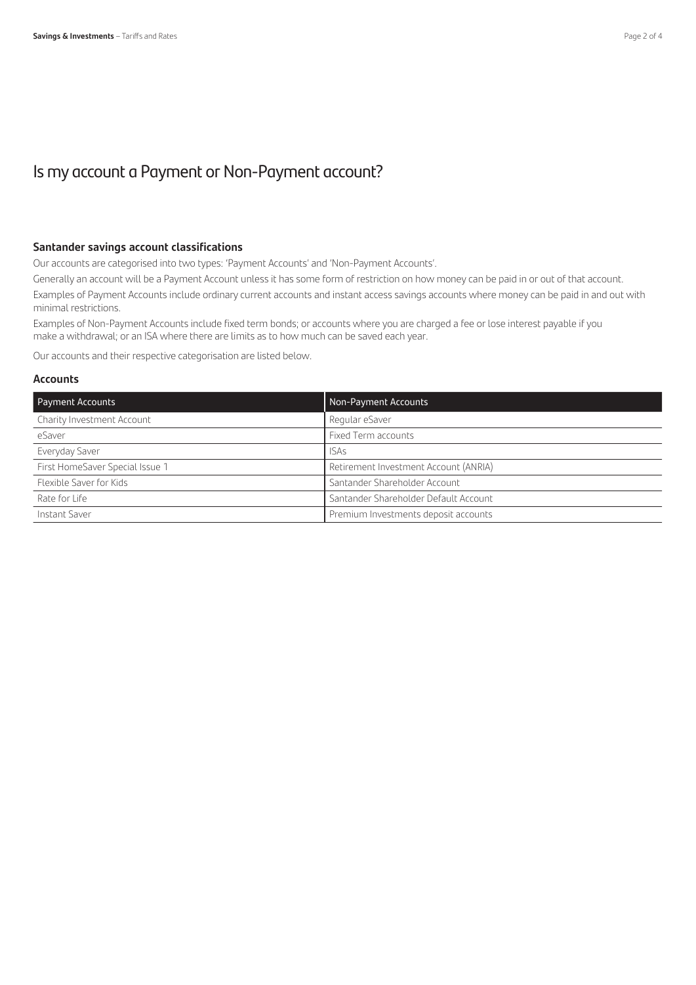### Is my account a Payment or Non-Payment account?

#### **Santander savings account classifications**

Our accounts are categorised into two types: 'Payment Accounts' and 'Non-Payment Accounts'.

Generally an account will be a Payment Account unless it has some form of restriction on how money can be paid in or out of that account.

Examples of Payment Accounts include ordinary current accounts and instant access savings accounts where money can be paid in and out with minimal restrictions.

Examples of Non-Payment Accounts include fixed term bonds; or accounts where you are charged a fee or lose interest payable if you make a withdrawal; or an ISA where there are limits as to how much can be saved each year.

Our accounts and their respective categorisation are listed below.

### **Accounts**

| <b>Payment Accounts</b>         | Non-Payment Accounts                  |
|---------------------------------|---------------------------------------|
| Charity Investment Account      | Regular eSaver                        |
| eSaver                          | Fixed Term accounts                   |
| Everyday Saver                  | <b>ISAs</b>                           |
| First HomeSaver Special Issue 1 | Retirement Investment Account (ANRIA) |
| Flexible Saver for Kids         | Santander Shareholder Account         |
| Rate for Life                   | Santander Shareholder Default Account |
| Instant Saver                   | Premium Investments deposit accounts  |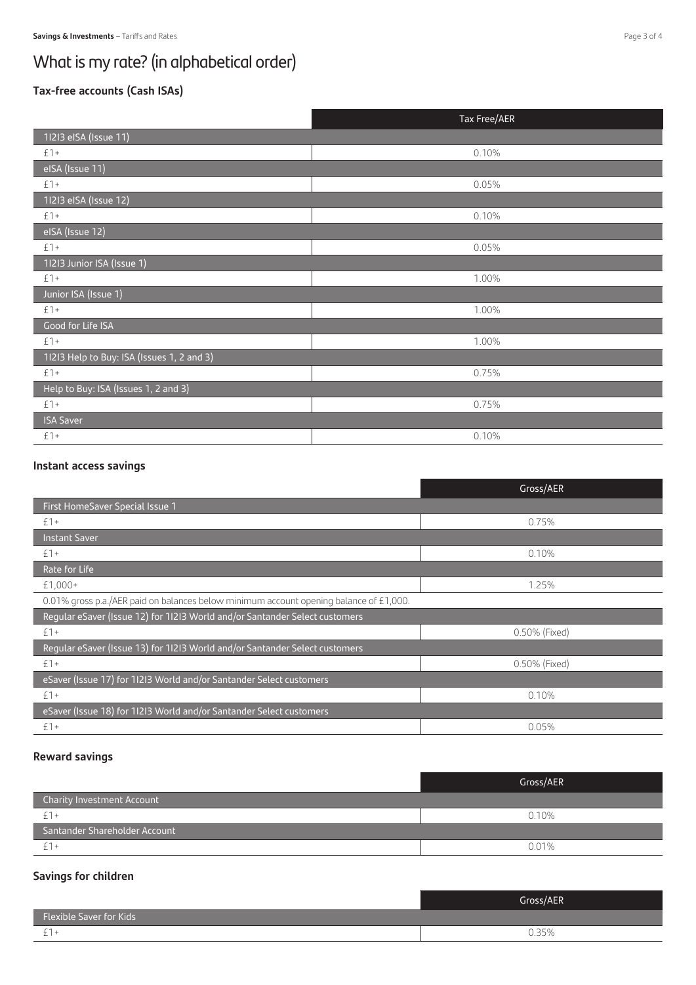## What is my rate? (in alphabetical order)

### **Tax-free accounts (Cash ISAs)**

|                                            | Tax Free/AER |
|--------------------------------------------|--------------|
| 11213 eISA (Issue 11)                      |              |
| $£$ ] +                                    | 0.10%        |
| eISA (Issue 11)                            |              |
| $£1+$                                      | 0.05%        |
| 11213 eISA (Issue 12)                      |              |
| $£$ 1 +                                    | 0.10%        |
| elSA (Issue 12)                            |              |
| $£1+$                                      | 0.05%        |
| 11213 Junior ISA (Issue 1)                 |              |
| $f$ 1 +                                    | 1.00%        |
| Junior ISA (Issue 1)                       |              |
| $£$ ] +                                    | 1.00%        |
| Good for Life ISA                          |              |
| $£$ 1 +                                    | 1.00%        |
| 11213 Help to Buy: ISA (Issues 1, 2 and 3) |              |
| $£$ ] +                                    | 0.75%        |
| Help to Buy: ISA (Issues 1, 2 and 3)       |              |
| $£$ ] +                                    | 0.75%        |
| <b>ISA Saver</b>                           |              |
| $£1+$                                      | 0.10%        |

### **Instant access savings**

|                                                                                        | Gross/AER     |  |
|----------------------------------------------------------------------------------------|---------------|--|
| First HomeSaver Special Issue 1                                                        |               |  |
| $£1+$                                                                                  | 0.75%         |  |
| <b>Instant Saver</b>                                                                   |               |  |
| $£1+$                                                                                  | 0.10%         |  |
| Rate for Life                                                                          |               |  |
| £1,000+                                                                                | 1.25%         |  |
| 0.01% gross p.a./AER paid on balances below minimum account opening balance of £1,000. |               |  |
| Regular eSaver (Issue 12) for 11213 World and/or Santander Select customers            |               |  |
| $£1+$                                                                                  | 0.50% (Fixed) |  |
| Regular eSaver (Issue 13) for 11213 World and/or Santander Select customers            |               |  |
| $£1+$                                                                                  | 0.50% (Fixed) |  |
| eSaver (Issue 17) for 1I2I3 World and/or Santander Select customers                    |               |  |
| $£1+$                                                                                  | 0.10%         |  |
| eSaver (Issue 18) for 11213 World and/or Santander Select customers                    |               |  |
| $£1+$                                                                                  | 0.05%         |  |

### **Reward savings**

|                                   | Gross/AER |
|-----------------------------------|-----------|
| <b>Charity Investment Account</b> |           |
|                                   | 0.10%     |
| Santander Shareholder Account     |           |
|                                   | 0.01%     |

### **Savings for children**

|                                | Gross/AER |
|--------------------------------|-----------|
| <b>Flexible Saver for Kids</b> |           |
| <u>_</u>                       | 35%       |